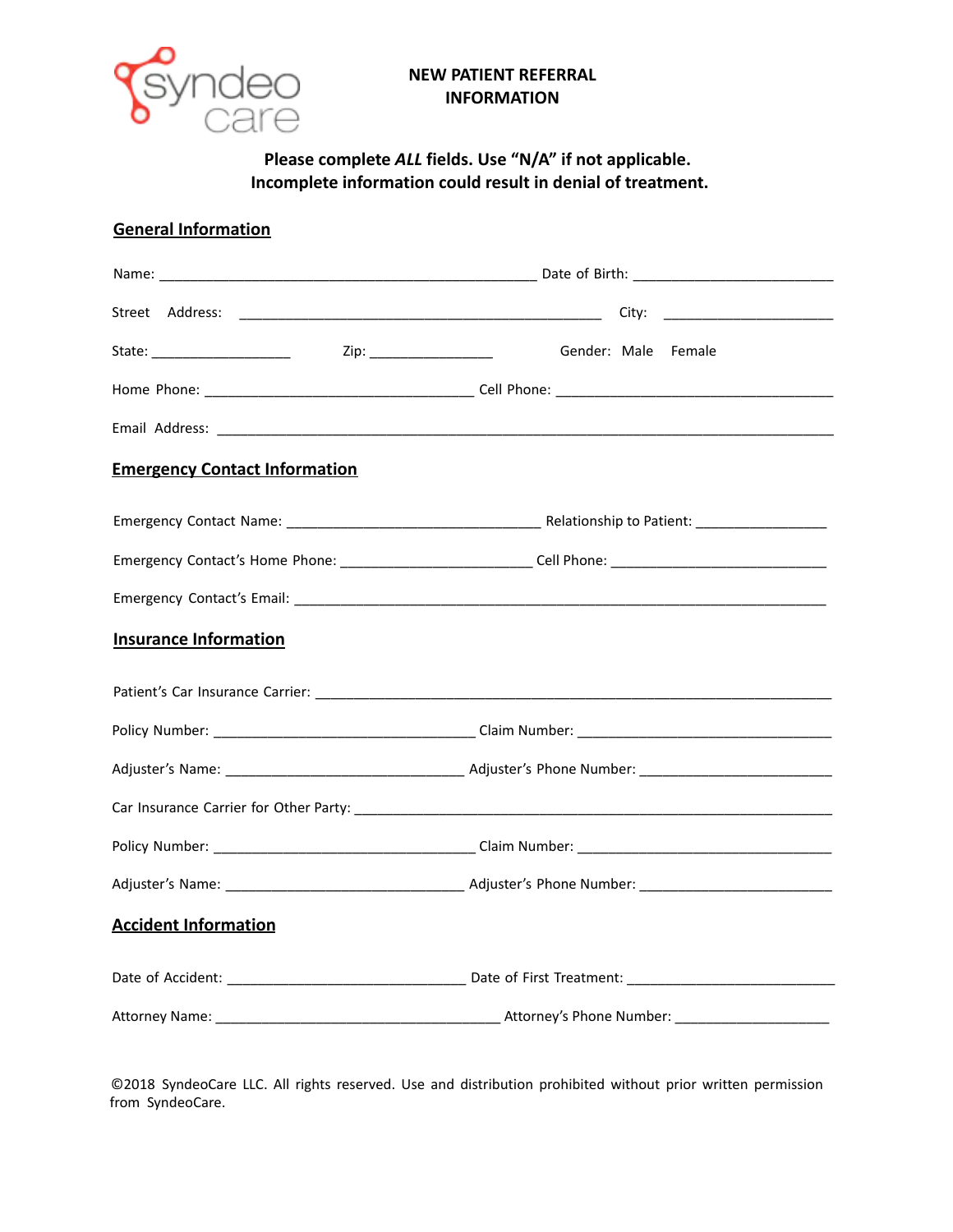

### **NEW PATIENT REFERRAL INFORMATION**

# **Please complete** *ALL* **fields. Use "N/A" if not applicable. Incomplete information could result in denial of treatment.**

## **General Information**

|                                      | State: _______________________ Zip: ___________________ Gender: Male Female                          |  |  |
|--------------------------------------|------------------------------------------------------------------------------------------------------|--|--|
|                                      |                                                                                                      |  |  |
|                                      |                                                                                                      |  |  |
| <b>Emergency Contact Information</b> |                                                                                                      |  |  |
|                                      |                                                                                                      |  |  |
|                                      | Emergency Contact's Home Phone: ____________________________Cell Phone: ____________________________ |  |  |
|                                      |                                                                                                      |  |  |
| <b>Insurance Information</b>         |                                                                                                      |  |  |
|                                      |                                                                                                      |  |  |
|                                      |                                                                                                      |  |  |
|                                      |                                                                                                      |  |  |
|                                      |                                                                                                      |  |  |
|                                      |                                                                                                      |  |  |
|                                      |                                                                                                      |  |  |
| <b>Accident Information</b>          |                                                                                                      |  |  |
|                                      |                                                                                                      |  |  |
|                                      |                                                                                                      |  |  |

©2018 SyndeoCare LLC. All rights reserved. Use and distribution prohibited without prior written permission from SyndeoCare.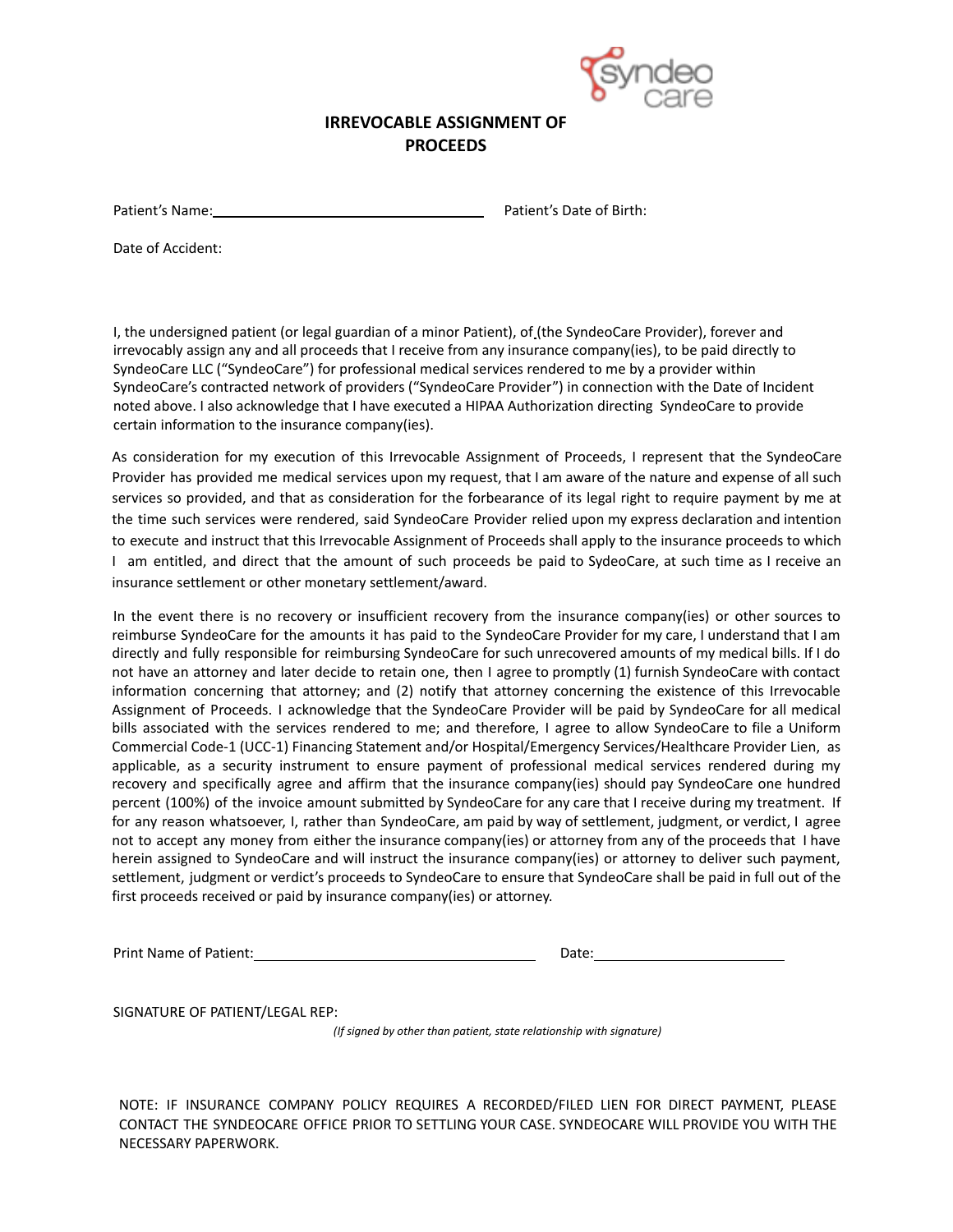

### **IRREVOCABLE ASSIGNMENT OF PROCEEDS**

Patient's Name: Patient's Name: Patient's Date of Birth:

Date of Accident:

I, the undersigned patient (or legal guardian of a minor Patient), of (the SyndeoCare Provider), forever and irrevocably assign any and all proceeds that I receive from any insurance company(ies), to be paid directly to SyndeoCare LLC ("SyndeoCare") for professional medical services rendered to me by a provider within SyndeoCare's contracted network of providers ("SyndeoCare Provider") in connection with the Date of Incident noted above. I also acknowledge that I have executed a HIPAA Authorization directing SyndeoCare to provide certain information to the insurance company(ies).

As consideration for my execution of this Irrevocable Assignment of Proceeds, I represent that the SyndeoCare Provider has provided me medical services upon my request, that I am aware of the nature and expense of all such services so provided, and that as consideration for the forbearance of its legal right to require payment by me at the time such services were rendered, said SyndeoCare Provider relied upon my express declaration and intention to execute and instruct that this Irrevocable Assignment of Proceeds shall apply to the insurance proceeds to which I am entitled, and direct that the amount of such proceeds be paid to SydeoCare, at such time as I receive an insurance settlement or other monetary settlement/award.

In the event there is no recovery or insufficient recovery from the insurance company(ies) or other sources to reimburse SyndeoCare for the amounts it has paid to the SyndeoCare Provider for my care, I understand that I am directly and fully responsible for reimbursing SyndeoCare for such unrecovered amounts of my medical bills. If I do not have an attorney and later decide to retain one, then I agree to promptly (1) furnish SyndeoCare with contact information concerning that attorney; and (2) notify that attorney concerning the existence of this Irrevocable Assignment of Proceeds. I acknowledge that the SyndeoCare Provider will be paid by SyndeoCare for all medical bills associated with the services rendered to me; and therefore, I agree to allow SyndeoCare to file a Uniform Commercial Code-1 (UCC-1) Financing Statement and/or Hospital/Emergency Services/Healthcare Provider Lien, as applicable, as a security instrument to ensure payment of professional medical services rendered during my recovery and specifically agree and affirm that the insurance company(ies) should pay SyndeoCare one hundred percent (100%) of the invoice amount submitted by SyndeoCare for any care that I receive during my treatment. If for any reason whatsoever, I, rather than SyndeoCare, am paid by way of settlement, judgment, or verdict, I agree not to accept any money from either the insurance company(ies) or attorney from any of the proceeds that I have herein assigned to SyndeoCare and will instruct the insurance company(ies) or attorney to deliver such payment, settlement, judgment or verdict's proceeds to SyndeoCare to ensure that SyndeoCare shall be paid in full out of the first proceeds received or paid by insurance company(ies) or attorney.

Print Name of Patient: Date: Date: Date: Date: Date: Date: Date: Date: Date: Date: Date: Date: Date: Date: Date: Date:  $\Box$ 

SIGNATURE OF PATIENT/LEGAL REP:

*(If signed by other than patient, state relationship with signature)*

NOTE: IF INSURANCE COMPANY POLICY REQUIRES A RECORDED/FILED LIEN FOR DIRECT PAYMENT, PLEASE CONTACT THE SYNDEOCARE OFFICE PRIOR TO SETTLING YOUR CASE. SYNDEOCARE WILL PROVIDE YOU WITH THE NECESSARY PAPERWORK.